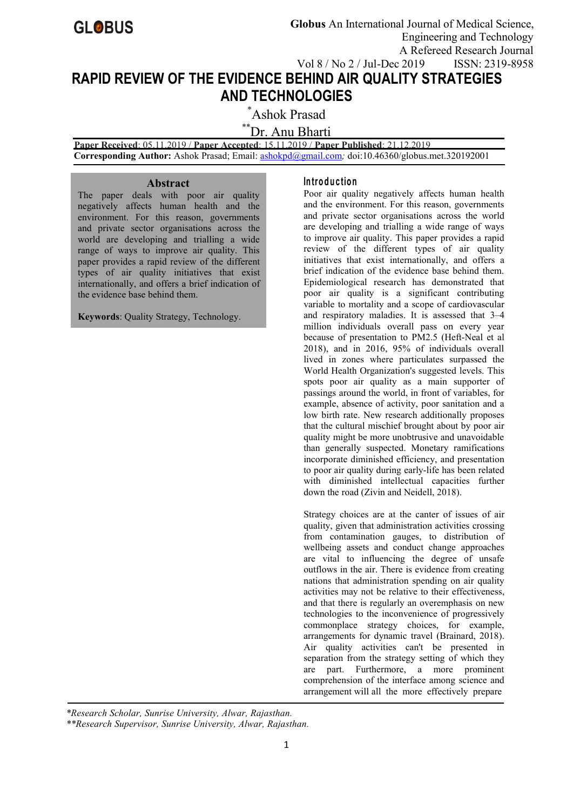

**Globus** An International Journal of Medical Science, Engineering and Technology A Refereed Research Journal Vol 8 / No 2 / Jul-Dec 2019 ISSN: 2319-8958

# **RAPID REVIEW OF THE EVIDENCE BEHIND AIR QUALITY STRATEGIES AND TECHNOLOGIES**

\*Ashok Prasad

\*\*Dr. Anu Bharti

**Paper Received**: 05.11.2019 / **Paper Accepted**: 15.11.2019 / **Paper Published**: 21.12.2019 **Corresponding Author:** Ashok Prasad; Email: [ashokpd@gmail.com](mailto:ashokpd@gmail.com)*;* doi:10.46360/globus.met.320192001

# **Abstract**

The paper deals with poor air quality negatively affects human health and the environment. For this reason, governments and private sector organisations across the world are developing and trialling a wide range of ways to improve air quality. This paper provides a rapid review of the different types of air quality initiatives that exist internationally, and offers a brief indication of the evidence base behind them.

**Keywords**: Quality Strategy, Technology.

# **In tro d u c tio n**

Poor air quality negatively affects human health and the environment. For this reason, governments and private sector organisations across the world are developing and trialling a wide range of ways to improve air quality. This paper provides a rapid review of the different types of air quality initiatives that exist internationally, and offers a brief indication of the evidence base behind them. Epidemiological research has demonstrated that poor air quality is a significant contributing variable to mortality and a scope of cardiovascular and respiratory maladies. It is assessed that 3–4 million individuals overall pass on every year because of presentation to PM2.5 (Heft-Neal et al 2018), and in 2016, 95% of individuals overall lived in zones where particulates surpassed the World Health Organization's suggested levels. This spots poor air quality as a main supporter of passings around the world, in front of variables, for example, absence of activity, poor sanitation and a low birth rate. New research additionally proposes that the cultural mischief brought about by poor air quality might be more unobtrusive and unavoidable than generally suspected. Monetary ramifications incorporate diminished efficiency, and presentation to poor air quality during early-life has been related with diminished intellectual capacities further down the road (Zivin and Neidell, 2018).

Strategy choices are at the canter of issues of air quality, given that administration activities crossing from contamination gauges, to distribution of wellbeing assets and conduct change approaches are vital to influencing the degree of unsafe outflows in the air. There is evidence from creating nations that administration spending on air quality activities may not be relative to their effectiveness, and that there is regularly an overemphasis on new technologies to the inconvenience of progressively commonplace strategy choices, for example, arrangements for dynamic travel (Brainard, 2018). Air quality activities can't be presented in separation from the strategy setting of which they are part. Furthermore, a more prominent comprehension of the interface among science and arrangement will all the more effectively prepare

*\*Research Scholar, Sunrise University, Alwar, Rajasthan.*

*\*\*Research Supervisor, Sunrise University, Alwar, Rajasthan.*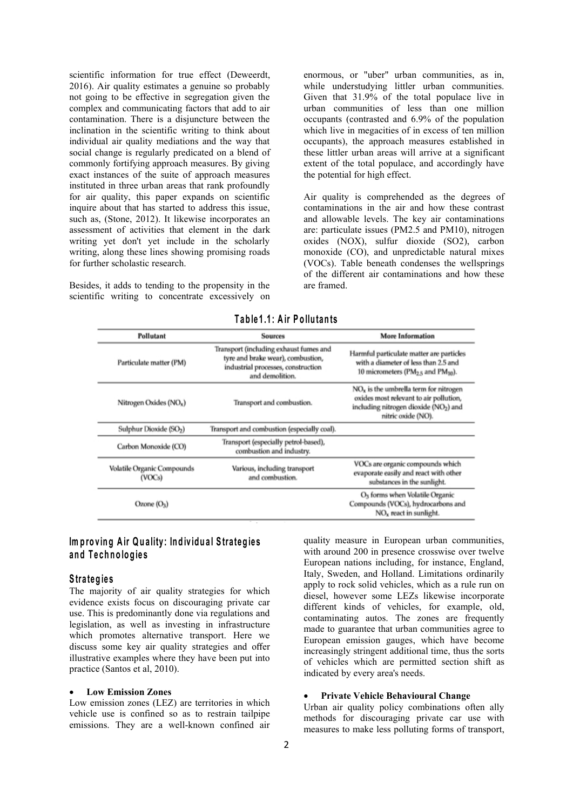scientific information for true effect (Deweerdt, 2016). Air quality estimates a genuine so probably not going to be effective in segregation given the complex and communicating factors that add to air contamination. There is a disjuncture between the inclination in the scientific writing to think about individual air quality mediations and the way that social change is regularly predicated on a blend of commonly fortifying approach measures. By giving exact instances of the suite of approach measures instituted in three urban areas that rank profoundly for air quality, this paper expands on scientific inquire about that has started to address this issue. such as, (Stone, 2012). It likewise incorporates an assessment of activities that element in the dark writing yet don't yet include in the scholarly writing, along these lines showing promising roads for further scholastic research.

Besides, it adds to tending to the propensity in the scientific writing to concentrate excessively on enormous, or "uber" urban communities, as in, while understudying littler urban communities. Given that 31.9% of the total populace live in urban communities of less than one million occupants (contrasted and 6.9% of the population which live in megacities of in excess of ten million occupants), the approach measures established in these littler urban areas will arrive at a significant extent of the total populace, and accordingly have the potential for high effect.

Air quality is comprehended as the degrees of contaminations in the air and how these contrast and allowable levels. The key air contaminations are: particulate issues (PM2.5 and PM10), nitrogen oxides (NOX), sulfur dioxide (SO2), carbon monoxide (CO), and unpredictable natural mixes (VOCs). Table beneath condenses the wellsprings of the different air contaminations and how these are framed.

| Pollutant                            | <b>Sources</b>                                                                                                                       | <b>More Information</b>                                                                                                                         |
|--------------------------------------|--------------------------------------------------------------------------------------------------------------------------------------|-------------------------------------------------------------------------------------------------------------------------------------------------|
| Particulate matter (PM)              | Transport (including exhaust fumes and<br>tyre and brake wear), combustion,<br>industrial processes, construction<br>and demolition. | Harmful particulate matter are particles<br>with a diameter of less than 2.5 and<br>10 micrometers ( $PM2.5$ and $PM10$ ).                      |
| Nitrogen Oxides (NO <sub>x</sub> )   | Transport and combustion.                                                                                                            | $NOx$ is the umbrella term for nitrogen<br>oxides most relevant to air pollution,<br>including nitrogen dioxide (NO2) and<br>nitric oxide (NO). |
| Sulphur Dioxide (SO <sub>2</sub> )   | Transport and combustion (especially coal).                                                                                          |                                                                                                                                                 |
| Carbon Monoxide (CO)                 | Transport (especially petrol-based),<br>combustion and industry.                                                                     |                                                                                                                                                 |
| Volatile Organic Compounds<br>(VOCs) | Various, including transport<br>and combustion.                                                                                      | VOCs are organic compounds which<br>evaporate easily and react with other<br>substances in the sunlight.                                        |
| Ozone $(O_3)$                        |                                                                                                                                      | O <sub>3</sub> forms when Volatile Organic<br>Compounds (VOCs), hydrocarbons and<br>$NOx$ react in sunlight.                                    |

# **T ab le 1 .1 : A irP o llu tan ts**

# **Im p ro v in g A irQu a lity : In d iv id u a l S tra teg ie s an d T e ch n o lo g ie s**

# **S tra teg ie s**

The majority of air quality strategies for which evidence exists focus on discouraging private car use. This is predominantly done via regulations and legislation, as well as investing in infrastructure which promotes alternative transport. Here we discuss some key air quality strategies and offer illustrative examples where they have been put into practice (Santos et al, 2010).

## **Low Emission Zones**

Low emission zones (LEZ) are territories in which vehicle use is confined so as to restrain tailpipe emissions. They are a well-known confined air quality measure in European urban communities, with around 200 in presence crosswise over twelve European nations including, for instance, England, Italy, Sweden, and Holland. Limitations ordinarily apply to rock solid vehicles, which as a rule run on diesel, however some LEZs likewise incorporate different kinds of vehicles, for example, old, contaminating autos. The zones are frequently made to guarantee that urban communities agree to European emission gauges, which have become increasingly stringent additional time, thus the sorts of vehicles which are permitted section shift as indicated by every area's needs.

#### **Private Vehicle Behavioural Change**

Urban air quality policy combinations often ally methods for discouraging private car use with measures to make less polluting forms of transport,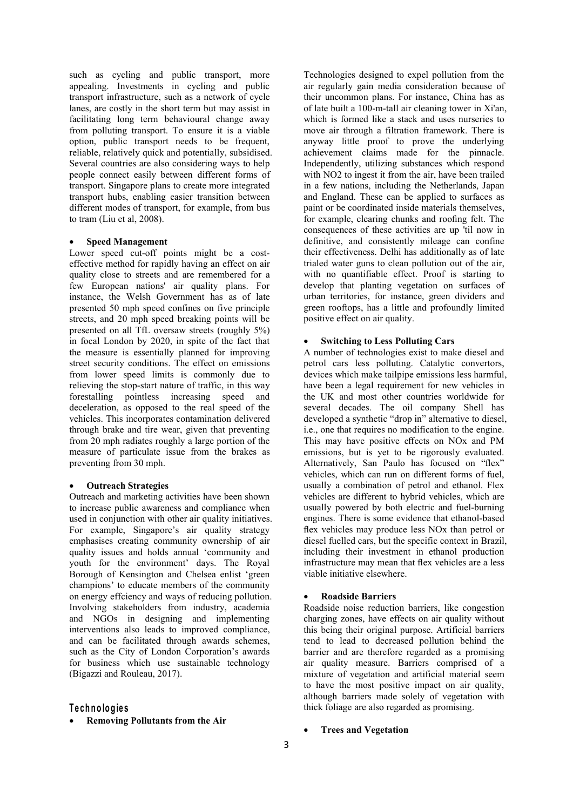such as cycling and public transport, more appealing. Investments in cycling and public transport infrastructure, such as a network of cycle lanes, are costly in the short term but may assist in facilitating long term behavioural change away from polluting transport. To ensure it is a viable option, public transport needs to be frequent, reliable, relatively quick and potentially, subsidised. Several countries are also considering ways to help people connect easily between different forms of transport. Singapore plans to create more integrated transport hubs, enabling easier transition between different modes of transport, for example, from bus to tram (Liu et al, 2008).

#### **Speed Management**

Lower speed cut-off points might be a cost effective method for rapidly having an effect on air quality close to streets and are remembered for a few European nations' air quality plans. For instance, the Welsh Government has as of late presented 50 mph speed confines on five principle streets, and 20 mph speed breaking points will be presented on all TfL oversaw streets (roughly 5%) in focal London by 2020, in spite of the fact that the measure is essentially planned for improving street security conditions. The effect on emissions from lower speed limits is commonly due to relieving the stop-start nature of traffic, in this way forestalling pointless increasing speed and deceleration, as opposed to the real speed of the vehicles. This incorporates contamination delivered through brake and tire wear, given that preventing from 20 mph radiates roughly a large portion of the measure of particulate issue from the brakes as preventing from 30 mph.

#### **Outreach Strategies**

Outreach and marketing activities have been shown to increase public awareness and compliance when used in conjunction with other air quality initiatives. For example, Singapore's air quality strategy emphasises creating community ownership of air quality issues and holds annual 'community and youth for the environment' days. The Royal Borough of Kensington and Chelsea enlist 'green champions' to educate members of the community on energy effciency and ways of reducing pollution. Involving stakeholders from industry, academia and NGOs in designing and implementing interventions also leads to improved compliance, and can be facilitated through awards schemes, such as the City of London Corporation's awards for business which use sustainable technology (Bigazzi and Rouleau, 2017).

# **T e ch n o lo g ie s**

**Removing Pollutants from the Air**

Technologies designed to expel pollution from the air regularly gain media consideration because of their uncommon plans. For instance, China has as of late built a 100-m-tall air cleaning tower in Xi'an, which is formed like a stack and uses nurseries to move air through a filtration framework. There is anyway little proof to prove the underlying achievement claims made for the pinnacle. Independently, utilizing substances which respond with NO2 to ingest it from the air, have been trailed in a few nations, including the Netherlands, Japan and England. These can be applied to surfaces as paint or be coordinated inside materials themselves, for example, clearing chunks and roofing felt. The consequences of these activities are up 'til now in definitive, and consistently mileage can confine their effectiveness. Delhi has additionally as of late trialed water guns to clean pollution out of the air, with no quantifiable effect. Proof is starting to develop that planting vegetation on surfaces of urban territories, for instance, green dividers and green rooftops, has a little and profoundly limited positive effect on air quality.

## **Switching** to Less Polluting Cars

A number of technologies exist to make diesel and petrol cars less polluting. Catalytic convertors, devices which make tailpipe emissions less harmful, have been a legal requirement for new vehicles in the UK and most other countries worldwide for several decades. The oil company Shell has developed a synthetic "drop in" alternative to diesel, i.e., one that requires no modification to the engine. This may have positive effects on NOx and PM emissions, but is yet to be rigorously evaluated. Alternatively, San Paulo has focused on "flex" vehicles, which can run on different forms of fuel, usually a combination of petrol and ethanol. Flex vehicles are different to hybrid vehicles, which are usually powered by both electric and fuel-burning engines. There is some evidence that ethanol-based flex vehicles may produce less NOx than petrol or diesel fuelled cars, but the specific context in Brazil, including their investment in ethanol production infrastructure may mean that flex vehicles are a less viable initiative elsewhere.

## **Roadside Barriers**

Roadside noise reduction barriers, like congestion charging zones, have effects on air quality without this being their original purpose. Artificial barriers tend to lead to decreased pollution behind the barrier and are therefore regarded as a promising air quality measure. Barriers comprised of a mixture of vegetation and artificial material seem to have the most positive impact on air quality, although barriers made solely of vegetation with thick foliage are also regarded as promising.

## **Trees and Vegetation**